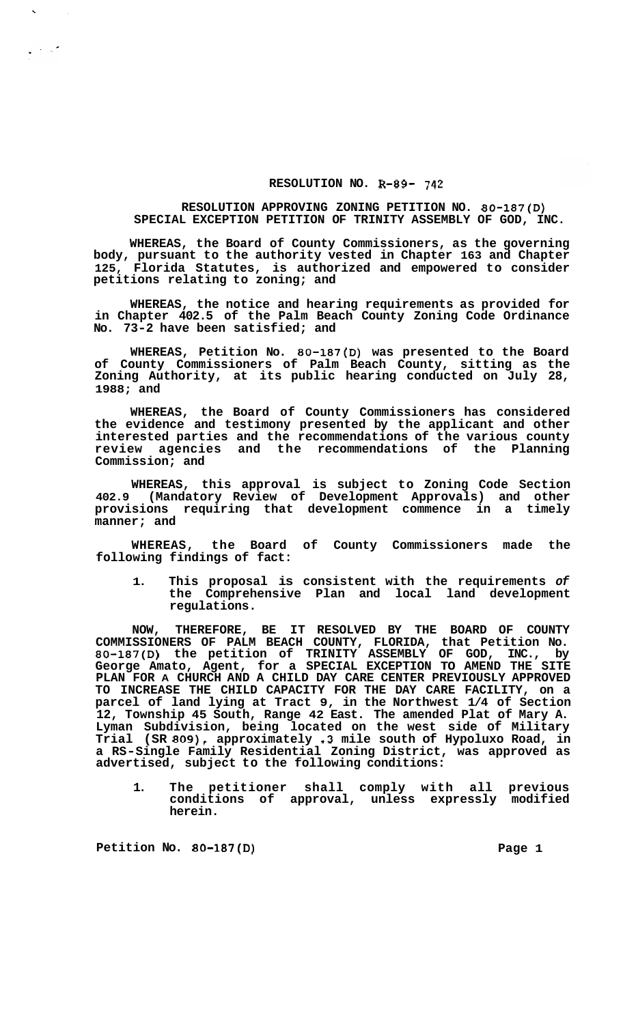## **RESOLUTION NO. R-89- 742**

## **RESOLUTION APPROVING ZONING PETITION NO. 80-187(D) SPECIAL EXCEPTION PETITION OF TRINITY ASSEMBLY OF GOD, INC.**

**WHEREAS, the Board of County Commissioners, as the governing body, pursuant to the authority vested in Chapter 163 and Chapter 125, Florida Statutes, is authorized and empowered to consider petitions relating to zoning; and** 

**WHEREAS, the notice and hearing requirements as provided for in Chapter 402.5 of the Palm Beach County Zoning Code Ordinance No. 73-2 have been satisfied; and** 

**WHEREAS, Petition No. 80-187(D) was presented to the Board of County Commissioners of Palm Beach County, sitting as the Zoning Authority, at its public hearing conducted on July 28, 1988; and** 

**WHEREAS, the Board of County Commissioners has considered the evidence and testimony presented by the applicant and other interested parties and the recommendations of the various county review agencies and the recommendations of the Planning Commission; and** 

**WHEREAS, this approval is subject to Zoning Code Section 402.9 (Mandatory Review of Development Approvals) and other provisions requiring that development commence in a timely manner; and** 

**WHEREAS, the Board of County Commissioners made the following findings of fact:** 

**1. This proposal is consistent with the requirements** *of*  **the Comprehensive Plan and local land development regulations.** 

**NOW, THEREFORE, BE IT RESOLVED BY THE BOARD OF COUNTY COMMISSIONERS OF PALM BEACH COUNTY, FLORIDA, that Petition No. 80-187(D) the petition of TRINITY ASSEMBLY OF GOD, INC., by George Amato, Agent, for a SPECIAL EXCEPTION TO AMEND THE SITE PLAN FOR A CHURCH AND A CHILD DAY CARE CENTER PREVIOUSLY APPROVED TO INCREASE THE CHILD CAPACITY FOR THE DAY CARE FACILITY, on a parcel of land lying at Tract 9, in the Northwest 1/4 of Section 12, Township 45 South, Range 42 East. The amended Plat of Mary A. Lyman Subdivision, being located on the west side of Military Trial (SR 809), approximately .3 mile south of Hypoluxo Road, in a RS-Single Family Residential Zoning District, was approved as advertised, subject to the following conditions:** 

**1. The petitioner shall comply with all previous conditions of approval, unless expressly modified herein.** 

Petition No. 80-187(D) Page 1

 $\frac{1}{2}$  ,  $\frac{1}{2}$  ,  $\frac{1}{2}$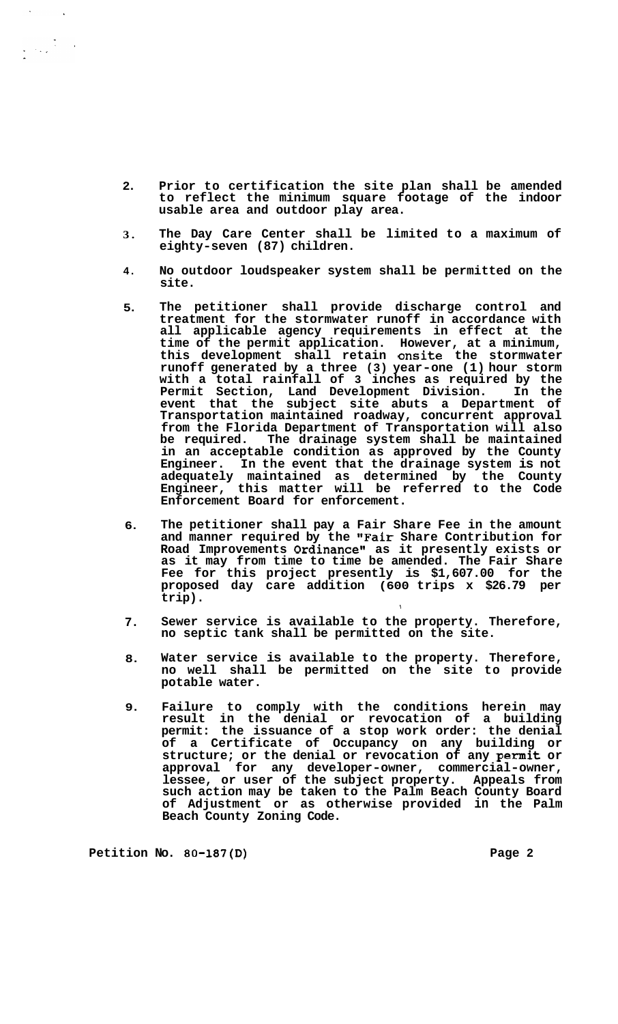- **2. Prior to certification the site plan shall be amended to reflect the minimum square footage of the indoor usable area and outdoor play area.**
- **3. The Day Care Center shall be limited to a maximum of eighty-seven (87) children.**
- **4. No outdoor loudspeaker system shall be permitted on the site.**
- **5. The petitioner shall provide discharge control and treatment for the stormwater runoff in accordance with all applicable agency requirements in effect at the time of the permit application. However, at a minimum, this development shall retain onsite the stormwater runoff generated by a three (3) year-one (1) hour storm with a total rainfall of 3 inches as required by the Permit Section, Land Development Division. In the event that the subject site abuts a Department of Transportation maintained roadway, concurrent approval from the Florida Department of Transportation will also be required. The drainage system shall be maintained in an acceptable condition as approved by the County Engineer. In the event that the drainage system is not adequately maintained as determined by the County Engineer, this matter will be referred to the Code Enforcement Board for enforcement.**
- **6. The petitioner shall pay a Fair Share Fee in the amount and manner required by the "Fair Share Contribution for Road Improvements Ordinance" as it presently exists or as it may from time to time be amended. The Fair Share Fee for this project presently is \$1,607.00 for the proposed day care addition (600 trips x \$26.79 per trip).**
- **7. Sewer service is available to the property. Therefore, no septic tank shall be permitted on the site.**

\

- **8. Water service is available to the property. Therefore, no well shall be permitted on the site to provide potable water.**
- **9. Failure to comply with the conditions herein may result in the denial or revocation of a building permit: the issuance of a stop work order: the denial of a Certificate of Occupancy on any building or structure; or the denial or revocation of any permit or approval for any developer-owner, commercial-owner, lessee, or user of the subject property. Appeals from such action may be taken to the Palm Beach County Board of Adjustment or as otherwise provided in the Palm Beach County Zoning Code.**

Petition No. 80-187(D) **Page 2 Page 2**